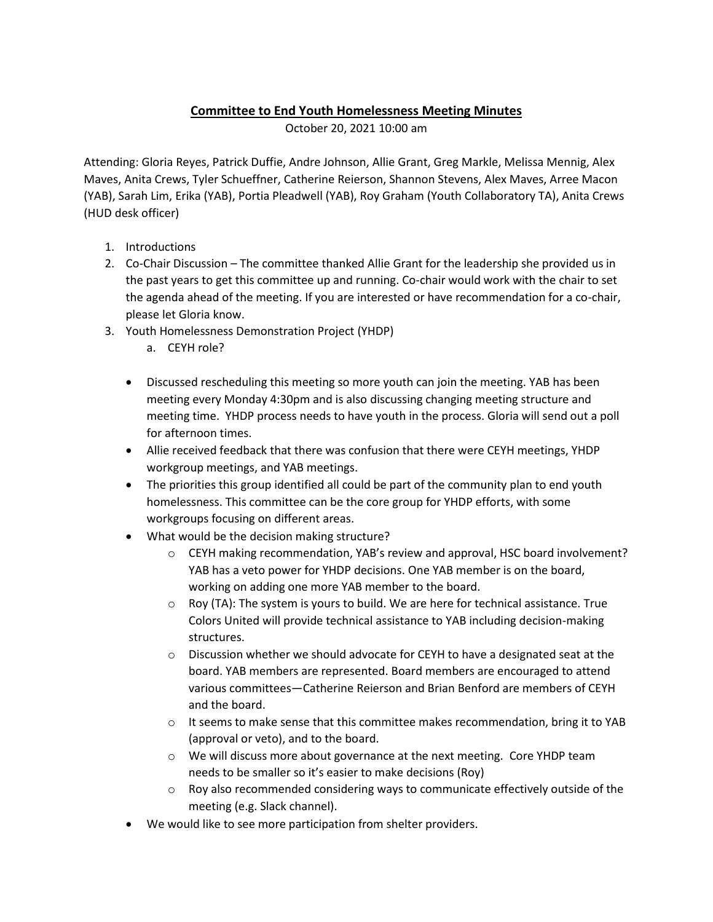## **Committee to End Youth Homelessness Meeting Minutes**

October 20, 2021 10:00 am

Attending: Gloria Reyes, Patrick Duffie, Andre Johnson, Allie Grant, Greg Markle, Melissa Mennig, Alex Maves, Anita Crews, Tyler Schueffner, Catherine Reierson, Shannon Stevens, Alex Maves, Arree Macon (YAB), Sarah Lim, Erika (YAB), Portia Pleadwell (YAB), Roy Graham (Youth Collaboratory TA), Anita Crews (HUD desk officer)

- 1. Introductions
- 2. Co-Chair Discussion The committee thanked Allie Grant for the leadership she provided us in the past years to get this committee up and running. Co-chair would work with the chair to set the agenda ahead of the meeting. If you are interested or have recommendation for a co-chair, please let Gloria know.
- 3. Youth Homelessness Demonstration Project (YHDP)
	- a. CEYH role?
	- Discussed rescheduling this meeting so more youth can join the meeting. YAB has been meeting every Monday 4:30pm and is also discussing changing meeting structure and meeting time. YHDP process needs to have youth in the process. Gloria will send out a poll for afternoon times.
	- Allie received feedback that there was confusion that there were CEYH meetings, YHDP workgroup meetings, and YAB meetings.
	- The priorities this group identified all could be part of the community plan to end youth homelessness. This committee can be the core group for YHDP efforts, with some workgroups focusing on different areas.
	- What would be the decision making structure?
		- $\circ$  CEYH making recommendation, YAB's review and approval, HSC board involvement? YAB has a veto power for YHDP decisions. One YAB member is on the board, working on adding one more YAB member to the board.
		- $\circ$  Roy (TA): The system is yours to build. We are here for technical assistance. True Colors United will provide technical assistance to YAB including decision-making structures.
		- $\circ$  Discussion whether we should advocate for CEYH to have a designated seat at the board. YAB members are represented. Board members are encouraged to attend various committees—Catherine Reierson and Brian Benford are members of CEYH and the board.
		- $\circ$  It seems to make sense that this committee makes recommendation, bring it to YAB (approval or veto), and to the board.
		- o We will discuss more about governance at the next meeting. Core YHDP team needs to be smaller so it's easier to make decisions (Roy)
		- $\circ$  Roy also recommended considering ways to communicate effectively outside of the meeting (e.g. Slack channel).
	- We would like to see more participation from shelter providers.